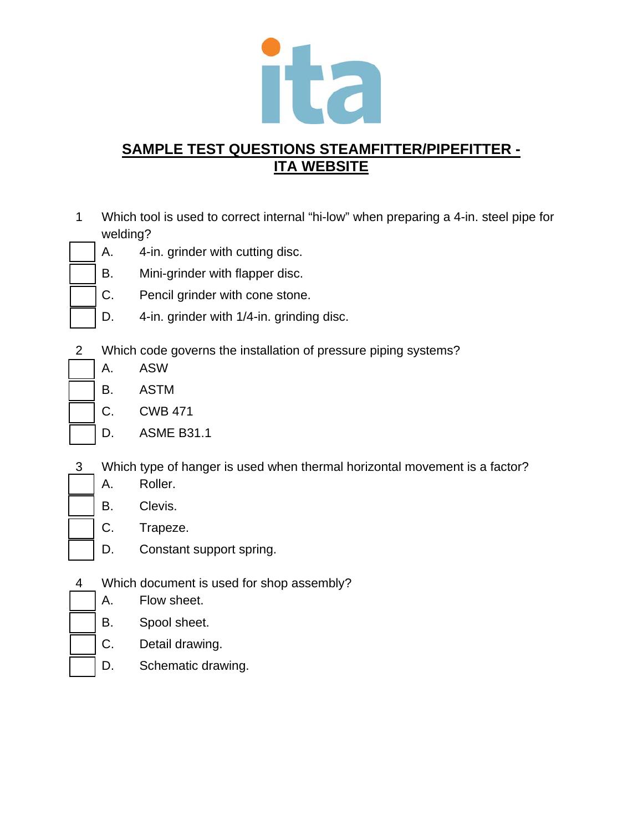

- 1 Which tool is used to correct internal "hi-low" when preparing a 4-in. steel pipe for welding?
	- A. 4-in. grinder with cutting disc.
	- B. Mini-grinder with flapper disc.
	- C. Pencil grinder with cone stone.
	- D. 4-in. grinder with 1/4-in. grinding disc.
- 2 Which code governs the installation of pressure piping systems?
	- A. ASW
	- B. ASTM
	- C. CWB 471
	- D. ASME B31.1
- 3 Which type of hanger is used when thermal horizontal movement is a factor?
	- A. Roller.
	- B. Clevis.
	- C. Trapeze.
	- D. Constant support spring.
- 4 Which document is used for shop assembly?
	- A. Flow sheet.
	- B. Spool sheet.
	- C. Detail drawing.
	- D. Schematic drawing.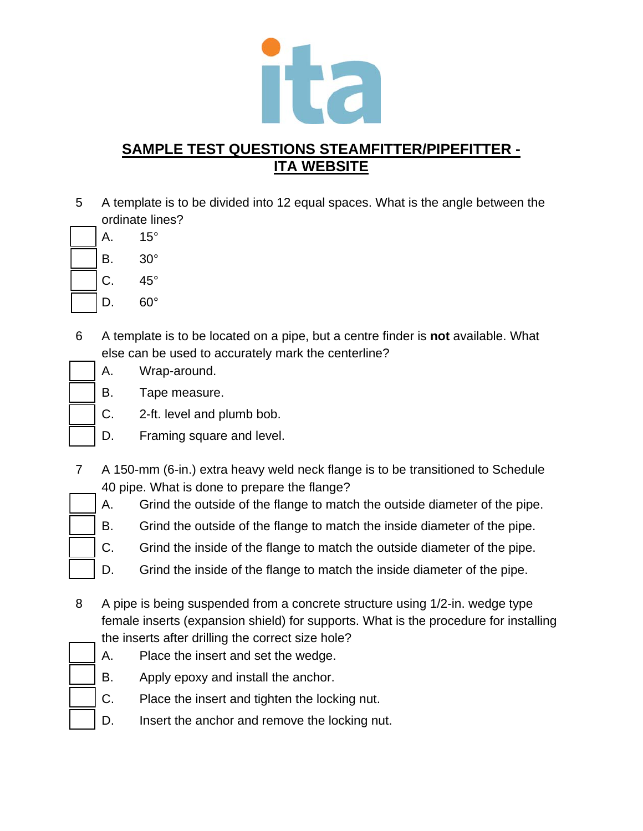

5 A template is to be divided into 12 equal spaces. What is the angle between the ordinate lines?

A. 15° B. 30° C. 45°

- D. 60°
- 6 A template is to be located on a pipe, but a centre finder is **not** available. What else can be used to accurately mark the centerline?
	- A. Wrap-around.
	- B. Tape measure.
	- C. 2-ft. level and plumb bob.
	- D. Framing square and level.
- 7 A 150-mm (6-in.) extra heavy weld neck flange is to be transitioned to Schedule 40 pipe. What is done to prepare the flange?
	- A. Grind the outside of the flange to match the outside diameter of the pipe.
	- B. Grind the outside of the flange to match the inside diameter of the pipe.
	- C. Grind the inside of the flange to match the outside diameter of the pipe.
	- D. Grind the inside of the flange to match the inside diameter of the pipe.
- 8 A pipe is being suspended from a concrete structure using 1/2-in. wedge type female inserts (expansion shield) for supports. What is the procedure for installing the inserts after drilling the correct size hole?
- 
- A. Place the insert and set the wedge.
	-
- - B. Apply epoxy and install the anchor.
		- C. Place the insert and tighten the locking nut.
		- D. Insert the anchor and remove the locking nut.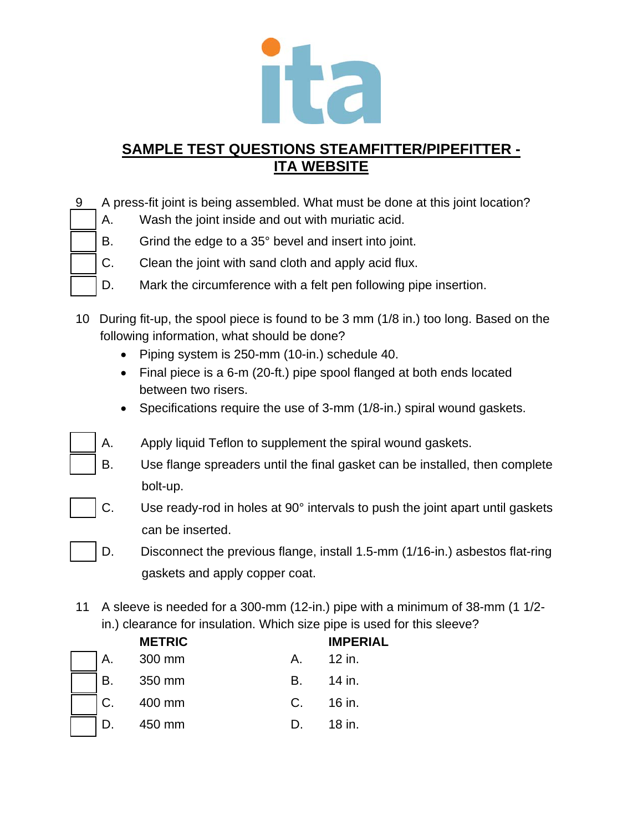

- 9 A press-fit joint is being assembled. What must be done at this joint location?
	- A. Wash the joint inside and out with muriatic acid.
	- B. Grind the edge to a 35° bevel and insert into joint.
	- C. Clean the joint with sand cloth and apply acid flux.
	- D. Mark the circumference with a felt pen following pipe insertion.
- 10 During fit-up, the spool piece is found to be 3 mm (1/8 in.) too long. Based on the following information, what should be done?
	- Piping system is 250-mm (10-in.) schedule 40.
	- Final piece is a 6-m (20-ft.) pipe spool flanged at both ends located between two risers.
	- Specifications require the use of 3-mm (1/8-in.) spiral wound gaskets.
	- A. Apply liquid Teflon to supplement the spiral wound gaskets.
		- B. Use flange spreaders until the final gasket can be installed, then complete bolt-up.
		- C. Use ready-rod in holes at 90° intervals to push the joint apart until gaskets can be inserted.
		- D. Disconnect the previous flange, install 1.5-mm (1/16-in.) asbestos flat-ring gaskets and apply copper coat.
- 11 A sleeve is needed for a 300-mm (12-in.) pipe with a minimum of 38-mm (1 1/2 in.) clearance for insulation. Which size pipe is used for this sleeve?

|    | <b>METRIC</b> |                  | <b>IMPERIAL</b> |
|----|---------------|------------------|-----------------|
| А. | 300 mm        | $\mathsf{A}_{-}$ | 12 in.          |
| В. | 350 mm        | В.               | 14 in.          |
| C. | 400 mm        | $C_{1}$          | 16 in.          |
|    | 450 mm        |                  | 18 in.          |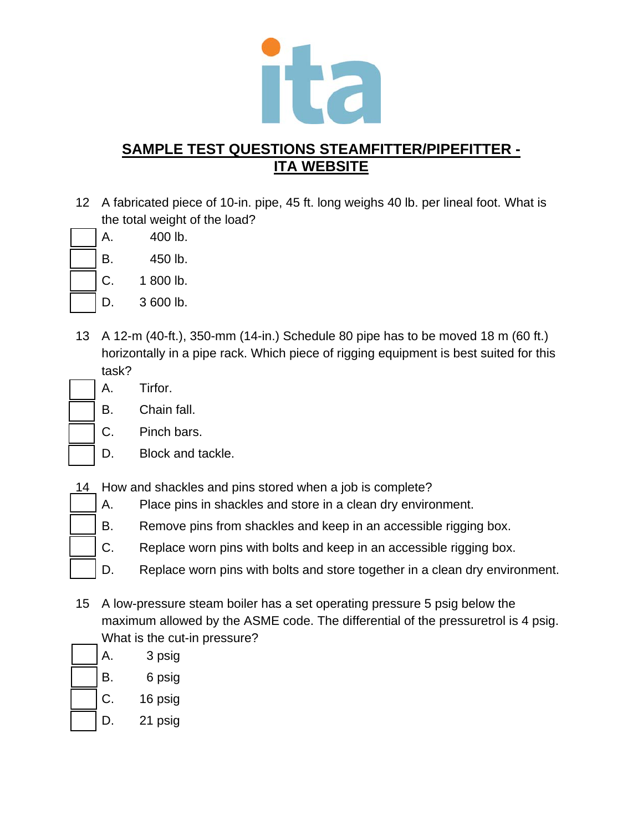

- 12 A fabricated piece of 10-in. pipe, 45 ft. long weighs 40 lb. per lineal foot. What is the total weight of the load?
	- A. 400 lb.
	- B. 450 lb.
	- C. 1 800 lb.
	- D. 3 600 lb.
- 13 A 12-m (40-ft.), 350-mm (14-in.) Schedule 80 pipe has to be moved 18 m (60 ft.) horizontally in a pipe rack. Which piece of rigging equipment is best suited for this task?
	- A. Tirfor.
	- B. Chain fall.
	- C. Pinch bars.
	- D. Block and tackle.
- 14 How and shackles and pins stored when a job is complete?
	- A. Place pins in shackles and store in a clean dry environment.
	- B. Remove pins from shackles and keep in an accessible rigging box.
	- C. Replace worn pins with bolts and keep in an accessible rigging box.
	- D. Replace worn pins with bolts and store together in a clean dry environment.
- 15 A low-pressure steam boiler has a set operating pressure 5 psig below the maximum allowed by the ASME code. The differential of the pressuretrol is 4 psig. What is the cut-in pressure?
- A. 3 psig
	- B. 6 psig
	- C. 16 psig
- D. 21 psig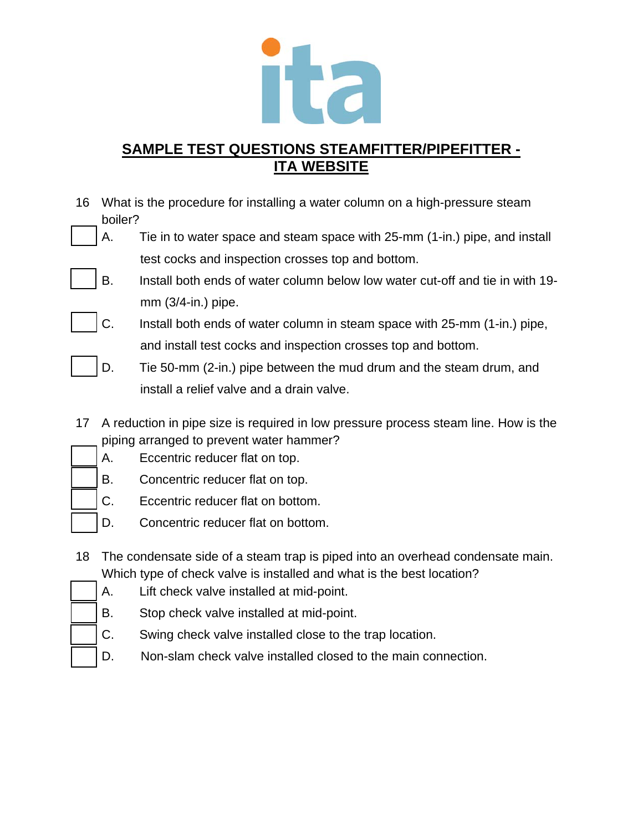

- 16 What is the procedure for installing a water column on a high-pressure steam boiler?
	- A. Tie in to water space and steam space with 25-mm (1-in.) pipe, and install test cocks and inspection crosses top and bottom.
	- B. Install both ends of water column below low water cut-off and tie in with 19 mm (3/4-in.) pipe.
	- C. Install both ends of water column in steam space with 25-mm (1-in.) pipe, and install test cocks and inspection crosses top and bottom.
	- D. Tie 50-mm (2-in.) pipe between the mud drum and the steam drum, and install a relief valve and a drain valve.
- 17 A reduction in pipe size is required in low pressure process steam line. How is the piping arranged to prevent water hammer?
	- A. Eccentric reducer flat on top.
	- B. Concentric reducer flat on top.
	- C. Eccentric reducer flat on bottom.
	- D. Concentric reducer flat on bottom.
- 18 The condensate side of a steam trap is piped into an overhead condensate main. Which type of check valve is installed and what is the best location?
- - A. Lift check valve installed at mid-point.
	- B. Stop check valve installed at mid-point.
	- C. Swing check valve installed close to the trap location.
	- D. Non-slam check valve installed closed to the main connection.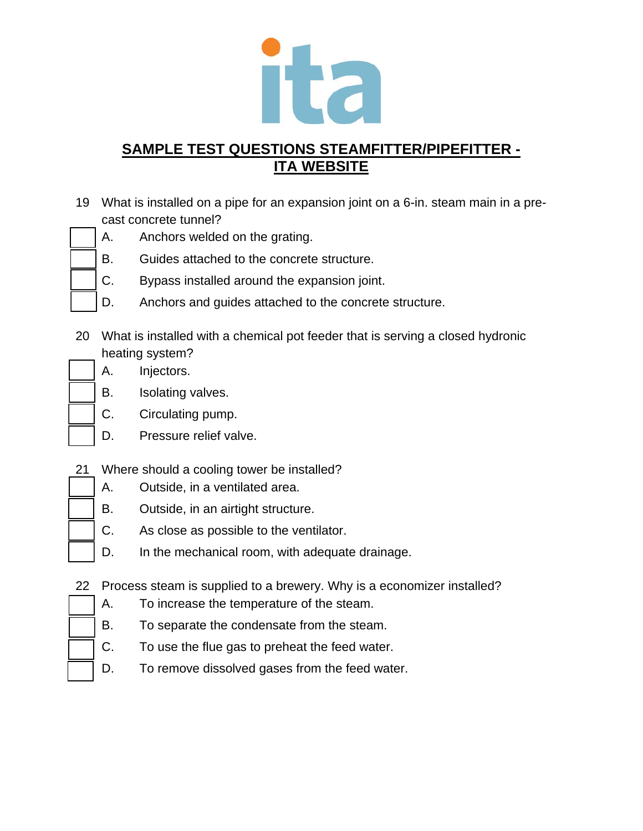

- 19 What is installed on a pipe for an expansion joint on a 6-in. steam main in a precast concrete tunnel?
	- A. Anchors welded on the grating.
	- B. Guides attached to the concrete structure.
	- C. Bypass installed around the expansion joint.
	- D. Anchors and guides attached to the concrete structure.
- 20 What is installed with a chemical pot feeder that is serving a closed hydronic heating system?
	- A. Injectors.
	- B. Isolating valves.
	- C. Circulating pump.
	- D. Pressure relief valve.
- 21 Where should a cooling tower be installed?
	- A. Outside, in a ventilated area.
	- B. Outside, in an airtight structure.
	- C. As close as possible to the ventilator.
	- D. In the mechanical room, with adequate drainage.
- 22 Process steam is supplied to a brewery. Why is a economizer installed?
	- A. To increase the temperature of the steam.
	- B. To separate the condensate from the steam.
	- C. To use the flue gas to preheat the feed water.
	- D. To remove dissolved gases from the feed water.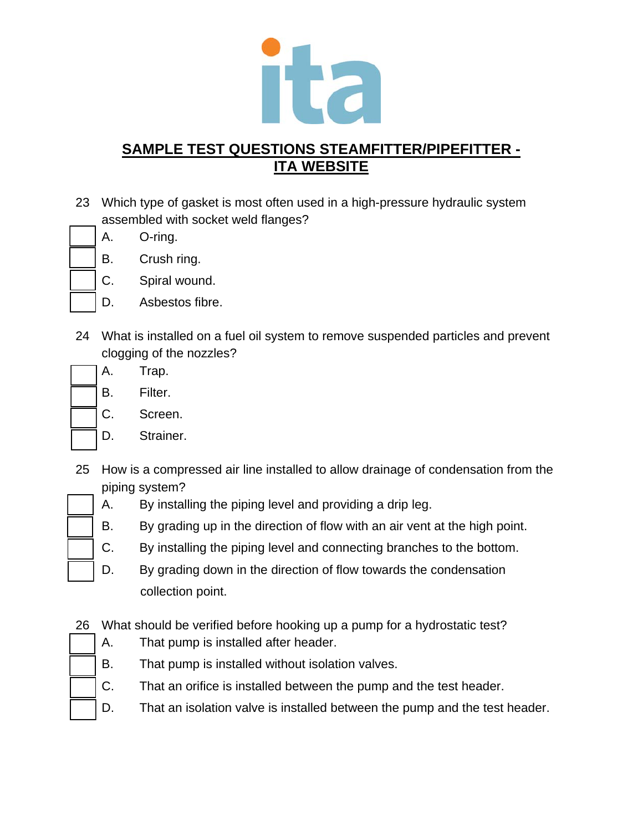

- 23 Which type of gasket is most often used in a high-pressure hydraulic system assembled with socket weld flanges?
	- A. O-ring.
	- B. Crush ring.
	- C. Spiral wound.
	- D. Asbestos fibre.
- 24 What is installed on a fuel oil system to remove suspended particles and prevent clogging of the nozzles?
	- A. Trap.
		- B. Filter.
		- C. Screen.
		- D. Strainer.
- 25 How is a compressed air line installed to allow drainage of condensation from the piping system?
	- A. By installing the piping level and providing a drip leg.
	- B. By grading up in the direction of flow with an air vent at the high point.
	- C. By installing the piping level and connecting branches to the bottom.
	- D. By grading down in the direction of flow towards the condensation collection point.
- 26 What should be verified before hooking up a pump for a hydrostatic test?
	- A. That pump is installed after header.
	- B. That pump is installed without isolation valves.
	- C. That an orifice is installed between the pump and the test header.
	- D. That an isolation valve is installed between the pump and the test header.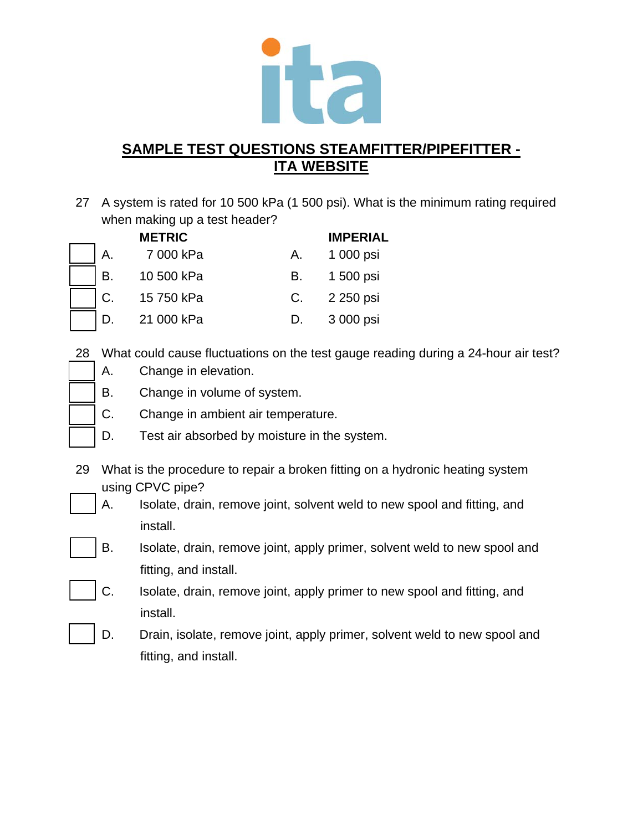

27 A system is rated for 10 500 kPa (1 500 psi). What is the minimum rating required when making up a test header?

|    | <b>METRIC</b> |    | <b>IMPERIAL</b> |
|----|---------------|----|-----------------|
| Α. | 7 000 kPa     | Α. | 1 000 psi       |
| B. | 10 500 kPa    | В. | 1 500 psi       |
| C. | 15 750 kPa    | C. | 2 250 psi       |
| D. | 21 000 kPa    | D. | 3 000 psi       |

28 What could cause fluctuations on the test gauge reading during a 24-hour air test?

- A. Change in elevation.
- B. Change in volume of system.
- C. Change in ambient air temperature.
- D. Test air absorbed by moisture in the system.
- 29 What is the procedure to repair a broken fitting on a hydronic heating system using CPVC pipe?
	- A. Isolate, drain, remove joint, solvent weld to new spool and fitting, and install.
	- B. Isolate, drain, remove joint, apply primer, solvent weld to new spool and fitting, and install.
	- C. Isolate, drain, remove joint, apply primer to new spool and fitting, and install.
	- D. Drain, isolate, remove joint, apply primer, solvent weld to new spool and fitting, and install.